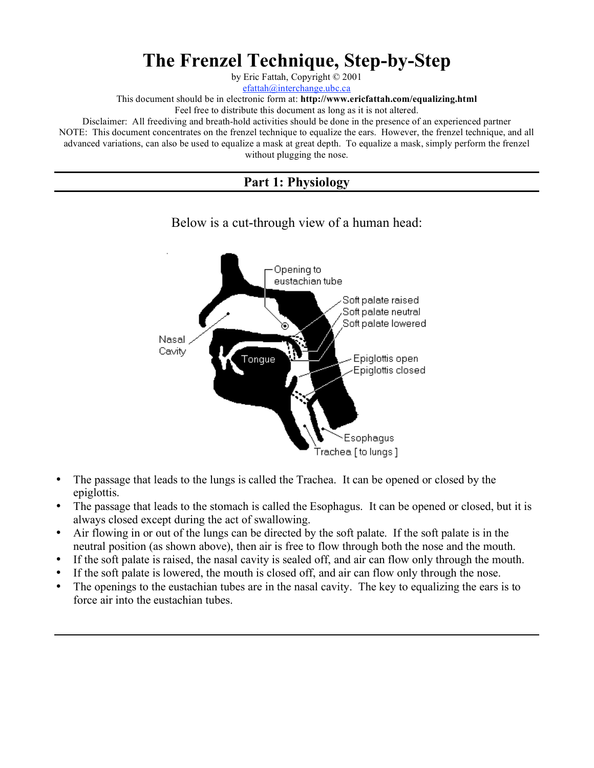# **The Frenzel Technique, Step-by-Step**

by Eric Fattah, Copyright © 2001

efattah@interchange.ubc.ca

This document should be in electronic form at: **http://www.ericfattah.com/equalizing.html**

Feel free to distribute this document as long as it is not altered.

Disclaimer: All freediving and breath-hold activities should be done in the presence of an experienced partner NOTE: This document concentrates on the frenzel technique to equalize the ears. However, the frenzel technique, and all advanced variations, can also be used to equalize a mask at great depth. To equalize a mask, simply perform the frenzel without plugging the nose.

# **Part 1: Physiology**



#### Below is a cut-through view of a human head:

- The passage that leads to the lungs is called the Trachea. It can be opened or closed by the epiglottis.
- The passage that leads to the stomach is called the Esophagus. It can be opened or closed, but it is always closed except during the act of swallowing.
- Air flowing in or out of the lungs can be directed by the soft palate. If the soft palate is in the neutral position (as shown above), then air is free to flow through both the nose and the mouth.
- If the soft palate is raised, the nasal cavity is sealed off, and air can flow only through the mouth.
- If the soft palate is lowered, the mouth is closed off, and air can flow only through the nose.
- The openings to the eustachian tubes are in the nasal cavity. The key to equalizing the ears is to force air into the eustachian tubes.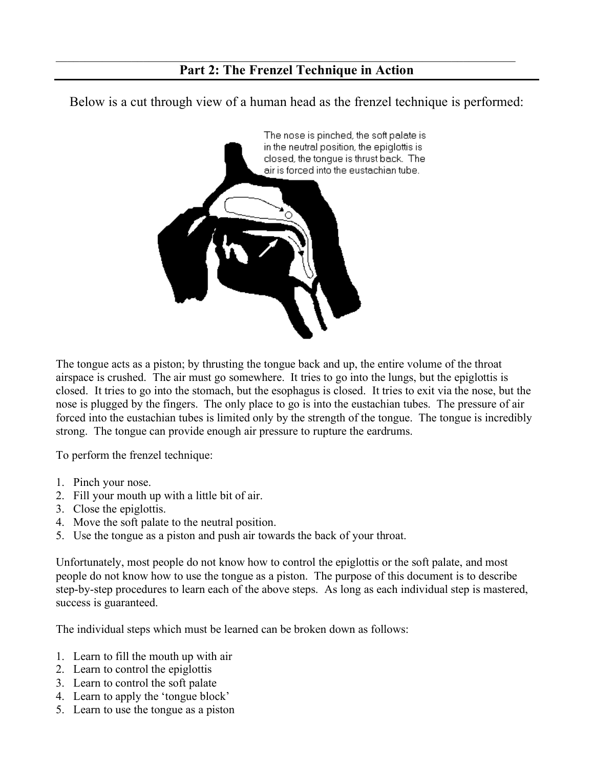# **Part 2: The Frenzel Technique in Action**

 $\_$  , and the contribution of the contribution of the contribution of the contribution of  $\mathcal{L}_\text{max}$ 

Below is a cut through view of a human head as the frenzel technique is performed:



The tongue acts as a piston; by thrusting the tongue back and up, the entire volume of the throat airspace is crushed. The air must go somewhere. It tries to go into the lungs, but the epiglottis is closed. It tries to go into the stomach, but the esophagus is closed. It tries to exit via the nose, but the nose is plugged by the fingers. The only place to go is into the eustachian tubes. The pressure of air forced into the eustachian tubes is limited only by the strength of the tongue. The tongue is incredibly strong. The tongue can provide enough air pressure to rupture the eardrums.

To perform the frenzel technique:

- 1. Pinch your nose.
- 2. Fill your mouth up with a little bit of air.
- 3. Close the epiglottis.
- 4. Move the soft palate to the neutral position.
- 5. Use the tongue as a piston and push air towards the back of your throat.

Unfortunately, most people do not know how to control the epiglottis or the soft palate, and most people do not know how to use the tongue as a piston. The purpose of this document is to describe step-by-step procedures to learn each of the above steps. As long as each individual step is mastered, success is guaranteed.

The individual steps which must be learned can be broken down as follows:

- 1. Learn to fill the mouth up with air
- 2. Learn to control the epiglottis
- 3. Learn to control the soft palate
- 4. Learn to apply the 'tongue block'
- 5. Learn to use the tongue as a piston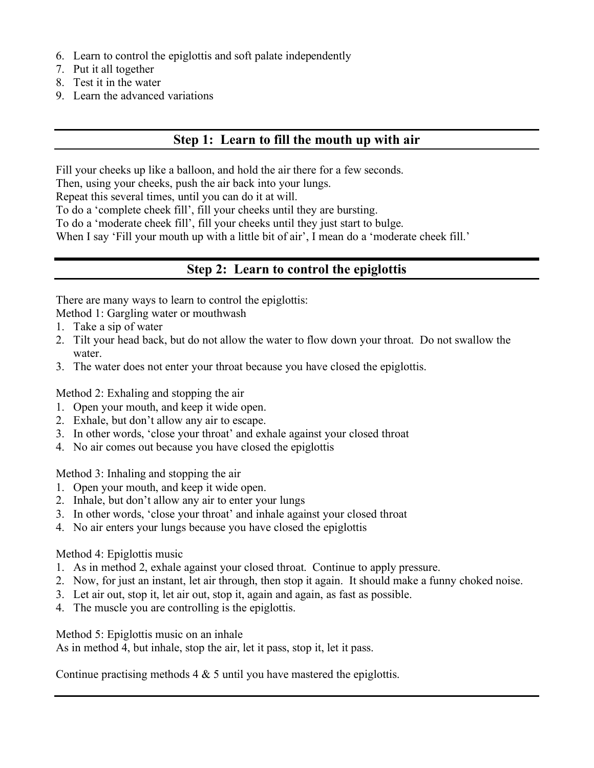- 6. Learn to control the epiglottis and soft palate independently
- 7. Put it all together
- 8. Test it in the water
- 9. Learn the advanced variations

#### **Step 1: Learn to fill the mouth up with air**

Fill your cheeks up like a balloon, and hold the air there for a few seconds.

Then, using your cheeks, push the air back into your lungs.

Repeat this several times, until you can do it at will.

To do a 'complete cheek fill', fill your cheeks until they are bursting.

To do a 'moderate cheek fill', fill your cheeks until they just start to bulge.

When I say 'Fill your mouth up with a little bit of air', I mean do a 'moderate cheek fill.'

# **Step 2: Learn to control the epiglottis**

There are many ways to learn to control the epiglottis:

Method 1: Gargling water or mouthwash

- 1. Take a sip of water
- 2. Tilt your head back, but do not allow the water to flow down your throat. Do not swallow the water.
- 3. The water does not enter your throat because you have closed the epiglottis.

Method 2: Exhaling and stopping the air

- 1. Open your mouth, and keep it wide open.
- 2. Exhale, but don't allow any air to escape.
- 3. In other words, 'close your throat' and exhale against your closed throat
- 4. No air comes out because you have closed the epiglottis

Method 3: Inhaling and stopping the air

- 1. Open your mouth, and keep it wide open.
- 2. Inhale, but don't allow any air to enter your lungs
- 3. In other words, 'close your throat' and inhale against your closed throat
- 4. No air enters your lungs because you have closed the epiglottis

#### Method 4: Epiglottis music

- 1. As in method 2, exhale against your closed throat. Continue to apply pressure.
- 2. Now, for just an instant, let air through, then stop it again. It should make a funny choked noise.
- 3. Let air out, stop it, let air out, stop it, again and again, as fast as possible.
- 4. The muscle you are controlling is the epiglottis.

Method 5: Epiglottis music on an inhale

As in method 4, but inhale, stop the air, let it pass, stop it, let it pass.

Continue practising methods  $4 \& 5$  until you have mastered the epiglottis.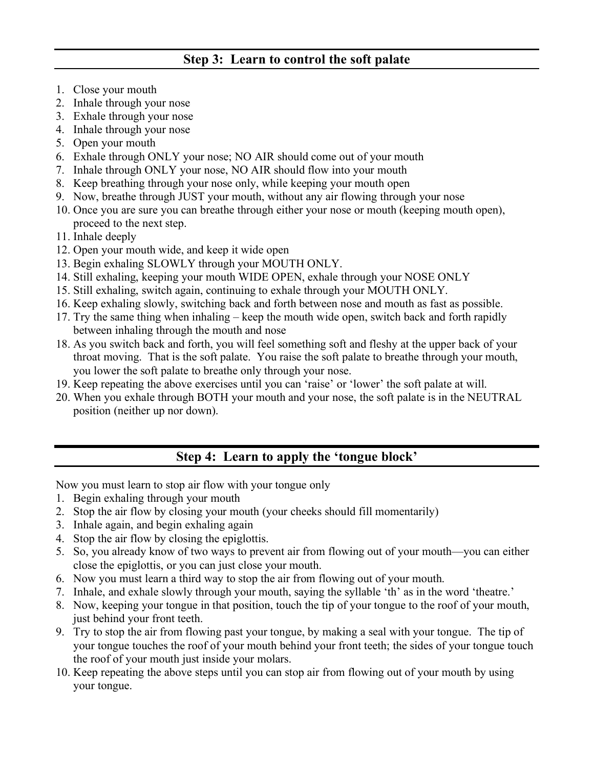# **Step 3: Learn to control the soft palate**

- 1. Close your mouth
- 2. Inhale through your nose
- 3. Exhale through your nose
- 4. Inhale through your nose
- 5. Open your mouth
- 6. Exhale through ONLY your nose; NO AIR should come out of your mouth
- 7. Inhale through ONLY your nose, NO AIR should flow into your mouth
- 8. Keep breathing through your nose only, while keeping your mouth open
- 9. Now, breathe through JUST your mouth, without any air flowing through your nose
- 10. Once you are sure you can breathe through either your nose or mouth (keeping mouth open), proceed to the next step.
- 11. Inhale deeply
- 12. Open your mouth wide, and keep it wide open
- 13. Begin exhaling SLOWLY through your MOUTH ONLY.
- 14. Still exhaling, keeping your mouth WIDE OPEN, exhale through your NOSE ONLY
- 15. Still exhaling, switch again, continuing to exhale through your MOUTH ONLY.
- 16. Keep exhaling slowly, switching back and forth between nose and mouth as fast as possible.
- 17. Try the same thing when inhaling keep the mouth wide open, switch back and forth rapidly between inhaling through the mouth and nose
- 18. As you switch back and forth, you will feel something soft and fleshy at the upper back of your throat moving. That is the soft palate. You raise the soft palate to breathe through your mouth, you lower the soft palate to breathe only through your nose.
- 19. Keep repeating the above exercises until you can 'raise' or 'lower' the soft palate at will.
- 20. When you exhale through BOTH your mouth and your nose, the soft palate is in the NEUTRAL position (neither up nor down).

# **Step 4: Learn to apply the 'tongue block'**

Now you must learn to stop air flow with your tongue only

- 1. Begin exhaling through your mouth
- 2. Stop the air flow by closing your mouth (your cheeks should fill momentarily)
- 3. Inhale again, and begin exhaling again
- 4. Stop the air flow by closing the epiglottis.
- 5. So, you already know of two ways to prevent air from flowing out of your mouth—you can either close the epiglottis, or you can just close your mouth.
- 6. Now you must learn a third way to stop the air from flowing out of your mouth.
- 7. Inhale, and exhale slowly through your mouth, saying the syllable 'th' as in the word 'theatre.'
- 8. Now, keeping your tongue in that position, touch the tip of your tongue to the roof of your mouth, just behind your front teeth.
- 9. Try to stop the air from flowing past your tongue, by making a seal with your tongue. The tip of your tongue touches the roof of your mouth behind your front teeth; the sides of your tongue touch the roof of your mouth just inside your molars.
- 10. Keep repeating the above steps until you can stop air from flowing out of your mouth by using your tongue.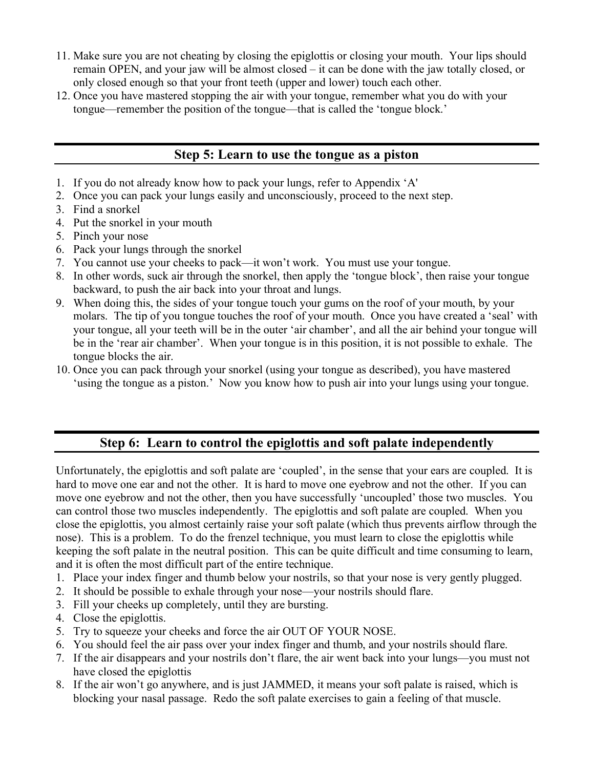- 11. Make sure you are not cheating by closing the epiglottis or closing your mouth. Your lips should remain OPEN, and your jaw will be almost closed – it can be done with the jaw totally closed, or only closed enough so that your front teeth (upper and lower) touch each other.
- 12. Once you have mastered stopping the air with your tongue, remember what you do with your tongue—remember the position of the tongue—that is called the 'tongue block.'

# **Step 5: Learn to use the tongue as a piston**

- 1. If you do not already know how to pack your lungs, refer to Appendix 'A'
- 2. Once you can pack your lungs easily and unconsciously, proceed to the next step.
- 3. Find a snorkel
- 4. Put the snorkel in your mouth
- 5. Pinch your nose
- 6. Pack your lungs through the snorkel
- 7. You cannot use your cheeks to pack—it won't work. You must use your tongue.
- 8. In other words, suck air through the snorkel, then apply the 'tongue block', then raise your tongue backward, to push the air back into your throat and lungs.
- 9. When doing this, the sides of your tongue touch your gums on the roof of your mouth, by your molars. The tip of you tongue touches the roof of your mouth. Once you have created a 'seal' with your tongue, all your teeth will be in the outer 'air chamber', and all the air behind your tongue will be in the 'rear air chamber'. When your tongue is in this position, it is not possible to exhale. The tongue blocks the air.
- 10. Once you can pack through your snorkel (using your tongue as described), you have mastered 'using the tongue as a piston.' Now you know how to push air into your lungs using your tongue.

# **Step 6: Learn to control the epiglottis and soft palate independently**

Unfortunately, the epiglottis and soft palate are 'coupled', in the sense that your ears are coupled. It is hard to move one ear and not the other. It is hard to move one eyebrow and not the other. If you can move one eyebrow and not the other, then you have successfully 'uncoupled' those two muscles. You can control those two muscles independently. The epiglottis and soft palate are coupled. When you close the epiglottis, you almost certainly raise your soft palate (which thus prevents airflow through the nose). This is a problem. To do the frenzel technique, you must learn to close the epiglottis while keeping the soft palate in the neutral position. This can be quite difficult and time consuming to learn, and it is often the most difficult part of the entire technique.

- 1. Place your index finger and thumb below your nostrils, so that your nose is very gently plugged.
- 2. It should be possible to exhale through your nose—your nostrils should flare.
- 3. Fill your cheeks up completely, until they are bursting.
- 4. Close the epiglottis.
- 5. Try to squeeze your cheeks and force the air OUT OF YOUR NOSE.
- 6. You should feel the air pass over your index finger and thumb, and your nostrils should flare.
- 7. If the air disappears and your nostrils don't flare, the air went back into your lungs—you must not have closed the epiglottis
- 8. If the air won't go anywhere, and is just JAMMED, it means your soft palate is raised, which is blocking your nasal passage. Redo the soft palate exercises to gain a feeling of that muscle.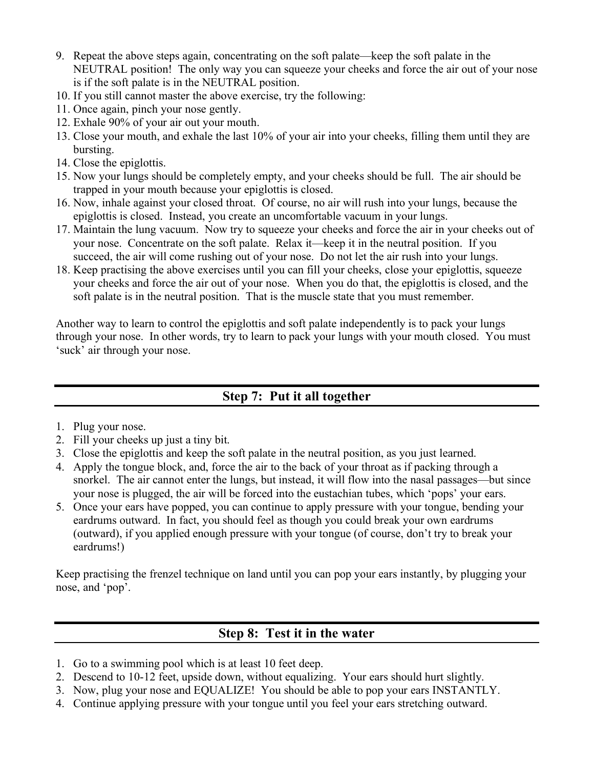- 9. Repeat the above steps again, concentrating on the soft palate—keep the soft palate in the NEUTRAL position! The only way you can squeeze your cheeks and force the air out of your nose is if the soft palate is in the NEUTRAL position.
- 10. If you still cannot master the above exercise, try the following:
- 11. Once again, pinch your nose gently.
- 12. Exhale 90% of your air out your mouth.
- 13. Close your mouth, and exhale the last 10% of your air into your cheeks, filling them until they are bursting.
- 14. Close the epiglottis.
- 15. Now your lungs should be completely empty, and your cheeks should be full. The air should be trapped in your mouth because your epiglottis is closed.
- 16. Now, inhale against your closed throat. Of course, no air will rush into your lungs, because the epiglottis is closed. Instead, you create an uncomfortable vacuum in your lungs.
- 17. Maintain the lung vacuum. Now try to squeeze your cheeks and force the air in your cheeks out of your nose. Concentrate on the soft palate. Relax it—keep it in the neutral position. If you succeed, the air will come rushing out of your nose. Do not let the air rush into your lungs.
- 18. Keep practising the above exercises until you can fill your cheeks, close your epiglottis, squeeze your cheeks and force the air out of your nose. When you do that, the epiglottis is closed, and the soft palate is in the neutral position. That is the muscle state that you must remember.

Another way to learn to control the epiglottis and soft palate independently is to pack your lungs through your nose. In other words, try to learn to pack your lungs with your mouth closed. You must 'suck' air through your nose.

# **Step 7: Put it all together**

- 1. Plug your nose.
- 2. Fill your cheeks up just a tiny bit.
- 3. Close the epiglottis and keep the soft palate in the neutral position, as you just learned.
- 4. Apply the tongue block, and, force the air to the back of your throat as if packing through a snorkel. The air cannot enter the lungs, but instead, it will flow into the nasal passages—but since your nose is plugged, the air will be forced into the eustachian tubes, which 'pops' your ears.
- 5. Once your ears have popped, you can continue to apply pressure with your tongue, bending your eardrums outward. In fact, you should feel as though you could break your own eardrums (outward), if you applied enough pressure with your tongue (of course, don't try to break your eardrums!)

Keep practising the frenzel technique on land until you can pop your ears instantly, by plugging your nose, and 'pop'.

# **Step 8: Test it in the water**

- 1. Go to a swimming pool which is at least 10 feet deep.
- 2. Descend to 10-12 feet, upside down, without equalizing. Your ears should hurt slightly.
- 3. Now, plug your nose and EQUALIZE! You should be able to pop your ears INSTANTLY.
- 4. Continue applying pressure with your tongue until you feel your ears stretching outward.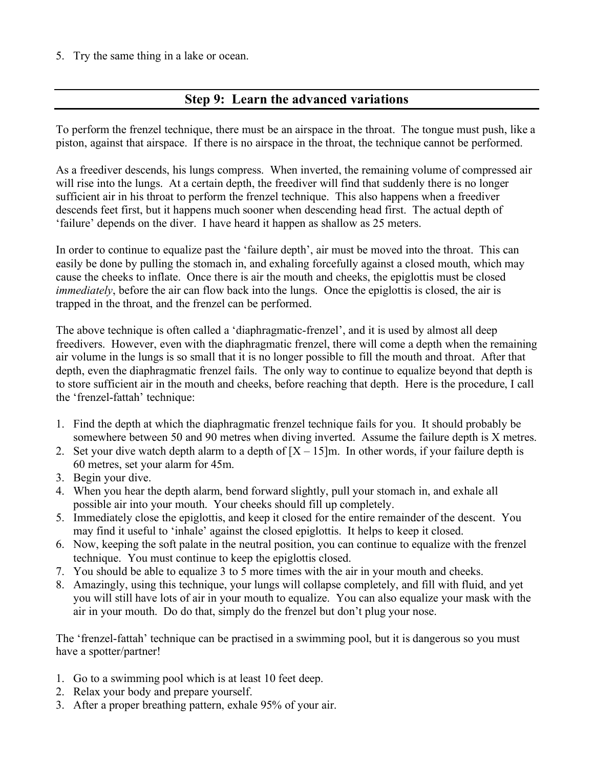5. Try the same thing in a lake or ocean.

#### **Step 9: Learn the advanced variations**

To perform the frenzel technique, there must be an airspace in the throat. The tongue must push, like a piston, against that airspace. If there is no airspace in the throat, the technique cannot be performed.

As a freediver descends, his lungs compress. When inverted, the remaining volume of compressed air will rise into the lungs. At a certain depth, the freediver will find that suddenly there is no longer sufficient air in his throat to perform the frenzel technique. This also happens when a freediver descends feet first, but it happens much sooner when descending head first. The actual depth of 'failure' depends on the diver. I have heard it happen as shallow as 25 meters.

In order to continue to equalize past the 'failure depth', air must be moved into the throat. This can easily be done by pulling the stomach in, and exhaling forcefully against a closed mouth, which may cause the cheeks to inflate. Once there is air the mouth and cheeks, the epiglottis must be closed *immediately*, before the air can flow back into the lungs. Once the epiglottis is closed, the air is trapped in the throat, and the frenzel can be performed.

The above technique is often called a 'diaphragmatic-frenzel', and it is used by almost all deep freedivers. However, even with the diaphragmatic frenzel, there will come a depth when the remaining air volume in the lungs is so small that it is no longer possible to fill the mouth and throat. After that depth, even the diaphragmatic frenzel fails. The only way to continue to equalize beyond that depth is to store sufficient air in the mouth and cheeks, before reaching that depth. Here is the procedure, I call the 'frenzel-fattah' technique:

- 1. Find the depth at which the diaphragmatic frenzel technique fails for you. It should probably be somewhere between 50 and 90 metres when diving inverted. Assume the failure depth is X metres.
- 2. Set your dive watch depth alarm to a depth of  $[X 15]$ m. In other words, if your failure depth is 60 metres, set your alarm for 45m.
- 3. Begin your dive.
- 4. When you hear the depth alarm, bend forward slightly, pull your stomach in, and exhale all possible air into your mouth. Your cheeks should fill up completely.
- 5. Immediately close the epiglottis, and keep it closed for the entire remainder of the descent. You may find it useful to 'inhale' against the closed epiglottis. It helps to keep it closed.
- 6. Now, keeping the soft palate in the neutral position, you can continue to equalize with the frenzel technique. You must continue to keep the epiglottis closed.
- 7. You should be able to equalize 3 to 5 more times with the air in your mouth and cheeks.
- 8. Amazingly, using this technique, your lungs will collapse completely, and fill with fluid, and yet you will still have lots of air in your mouth to equalize. You can also equalize your mask with the air in your mouth. Do do that, simply do the frenzel but don't plug your nose.

The 'frenzel-fattah' technique can be practised in a swimming pool, but it is dangerous so you must have a spotter/partner!

- 1. Go to a swimming pool which is at least 10 feet deep.
- 2. Relax your body and prepare yourself.
- 3. After a proper breathing pattern, exhale 95% of your air.